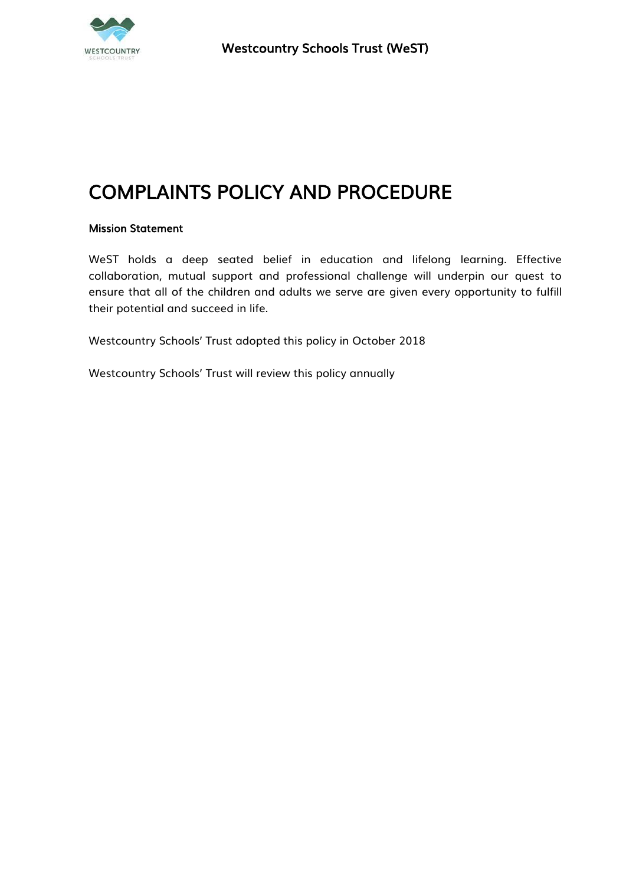

# COMPLAINTS POLICY AND PROCEDURE

# Mission Statement

WeST holds a deep seated belief in education and lifelong learning. Effective collaboration, mutual support and professional challenge will underpin our quest to ensure that all of the children and adults we serve are given every opportunity to fulfill their potential and succeed in life.

Westcountry Schools' Trust adopted this policy in October 2018

Westcountry Schools' Trust will review this policy annually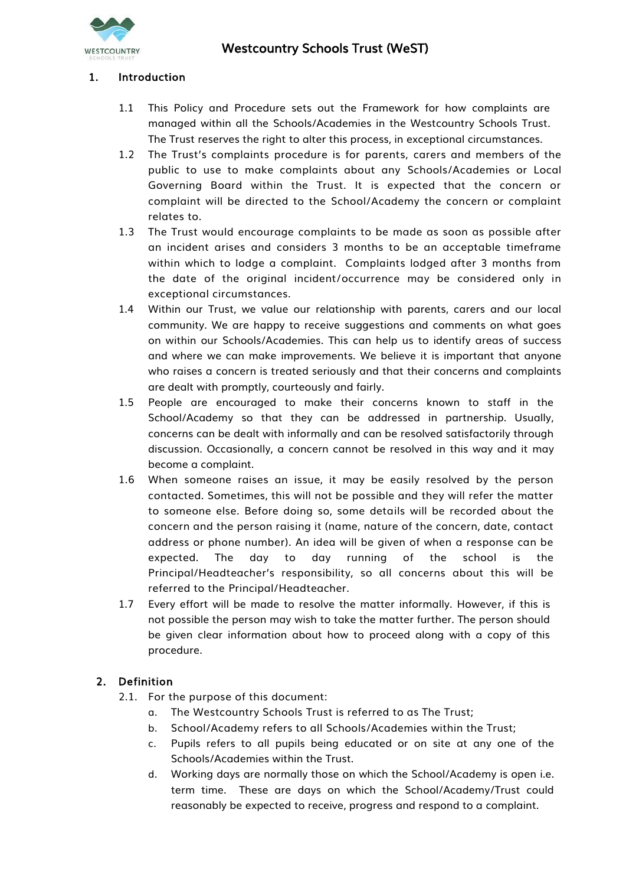

## 1. Introduction

- 1.1 This Policy and Procedure sets out the Framework for how complaints are managed within all the Schools/Academies in the Westcountry Schools Trust. The Trust reserves the right to alter this process, in exceptional circumstances.
- 1.2 The Trust's complaints procedure is for parents, carers and members of the public to use to make complaints about any Schools/Academies or Local Governing Board within the Trust. It is expected that the concern or complaint will be directed to the School/Academy the concern or complaint relates to.
- 1.3 The Trust would encourage complaints to be made as soon as possible after an incident arises and considers 3 months to be an acceptable timeframe within which to lodge a complaint. Complaints lodged after 3 months from the date of the original incident/occurrence may be considered only in exceptional circumstances.
- 1.4 Within our Trust, we value our relationship with parents, carers and our local community. We are happy to receive suggestions and comments on what goes on within our Schools/Academies. This can help us to identify areas of success and where we can make improvements. We believe it is important that anyone who raises a concern is treated seriously and that their concerns and complaints are dealt with promptly, courteously and fairly.
- 1.5 People are encouraged to make their concerns known to staff in the School/Academy so that they can be addressed in partnership. Usually, concerns can be dealt with informally and can be resolved satisfactorily through discussion. Occasionally, a concern cannot be resolved in this way and it may become a complaint.
- 1.6 When someone raises an issue, it may be easily resolved by the person contacted. Sometimes, this will not be possible and they will refer the matter to someone else. Before doing so, some details will be recorded about the concern and the person raising it (name, nature of the concern, date, contact address or phone number). An idea will be given of when a response can be expected. The day to day running of the school is the Principal/Headteacher's responsibility, so all concerns about this will be referred to the Principal/Headteacher.
- 1.7 Every effort will be made to resolve the matter informally. However, if this is not possible the person may wish to take the matter further. The person should be given clear information about how to proceed along with a copy of this procedure.

# 2. Definition

- 2.1. For the purpose of this document:
	- a. The Westcountry Schools Trust is referred to as The Trust;
	- b. School/Academy refers to all Schools/Academies within the Trust;
	- c. Pupils refers to all pupils being educated or on site at any one of the Schools/Academies within the Trust.
	- d. Working days are normally those on which the School/Academy is open i.e. term time. These are days on which the School/Academy/Trust could reasonably be expected to receive, progress and respond to a complaint.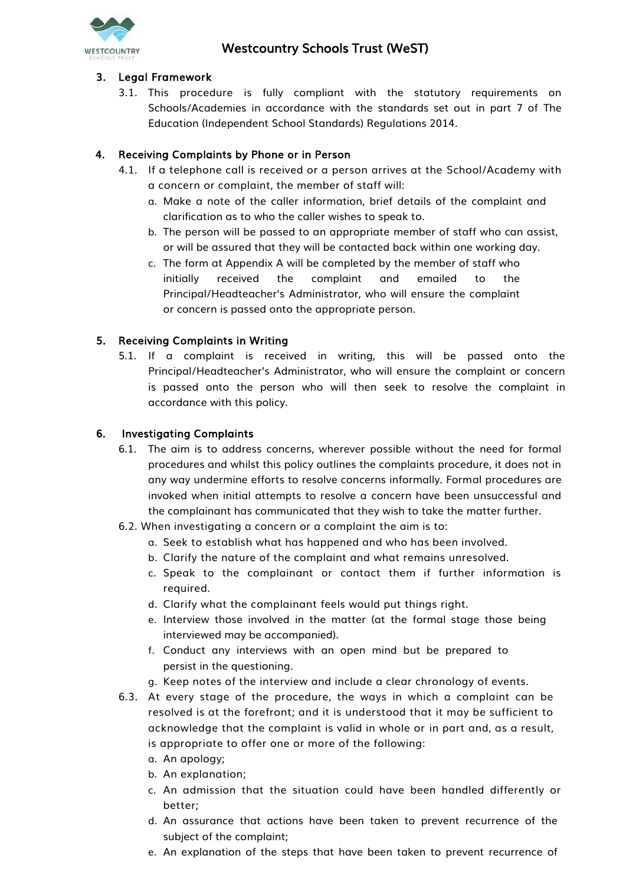

# 3. Legal Framework

3.1. This procedure is fully compliant with the statutory requirements on Schools/Academies in accordance with the standards set out in part 7 of The Education (Independent School Standards) Regulations 2014.

# 4. Receiving Complaints by Phone or in Person

- 4.1. If a telephone call is received or a person arrives at the School/Academy with a concern or complaint, the member of staff will:
	- a. Make a note of the caller information, brief details of the complaint and clarification as to who the caller wishes to speak to.
	- b. The person will be passed to an appropriate member of staff who can assist, or will be assured that they will be contacted back within one working day.
	- c. The form at Appendix A will be completed by the member of staff who initially received the complaint and emailed to the Principal/Headteacher's Administrator, who will ensure the complaint or concern is passed onto the appropriate person.

# 5. Receiving Complaints in Writing

5.1. If a complaint is received in writing, this will be passed onto the Principal/Headteacher's Administrator, who will ensure the complaint or concern is passed onto the person who will then seek to resolve the complaint in accordance with this policy.

# 6. Investigating Complaints

- 6.1. The aim is to address concerns, wherever possible without the need for formal procedures and whilst this policy outlines the complaints procedure, it does not in any way undermine efforts to resolve concerns informally. Formal procedures are invoked when initial attempts to resolve a concern have been unsuccessful and the complainant has communicated that they wish to take the matter further.
- 6.2. When investigating a concern or a complaint the aim is to:
	- a. Seek to establish what has happened and who has been involved.
	- b. Clarify the nature of the complaint and what remains unresolved.
	- c. Speak to the complainant or contact them if further information is required.
	- d. Clarify what the complainant feels would put things right.
	- e. Interview those involved in the matter (at the formal stage those being interviewed may be accompanied).
	- f. Conduct any interviews with an open mind but be prepared to persist in the questioning.
	- g. Keep notes of the interview and include a clear chronology of events.
- 6.3. At every stage of the procedure, the ways in which a complaint can be resolved is at the forefront; and it is understood that it may be sufficient to acknowledge that the complaint is valid in whole or in part and, as a result, is appropriate to offer one or more of the following:
	- a. An apology;
	- b. An explanation;
	- c. An admission that the situation could have been handled differently or better;
	- d. An assurance that actions have been taken to prevent recurrence of the subject of the complaint;
	- e. An explanation of the steps that have been taken to prevent recurrence of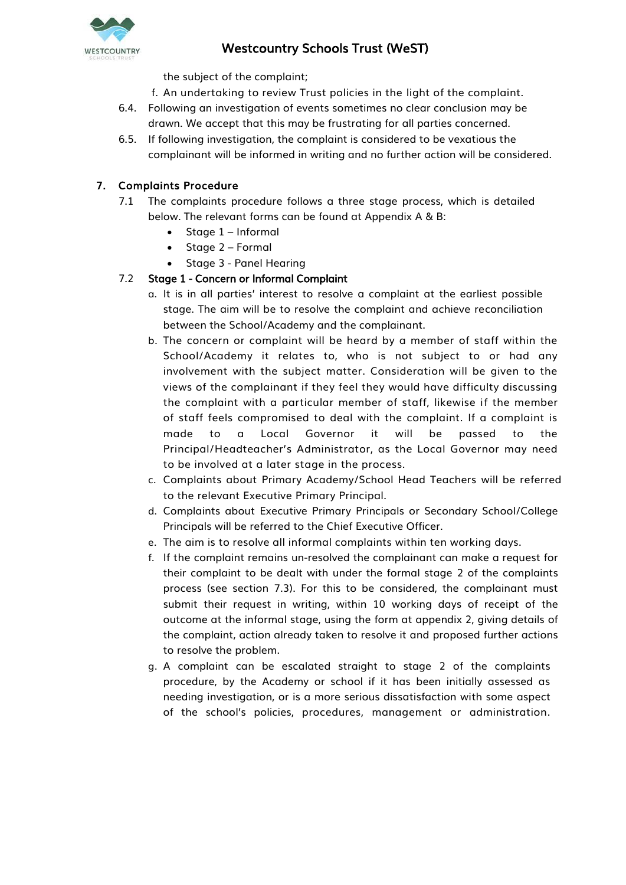

the subject of the complaint;

f. An undertaking to review Trust policies in the light of the complaint.

- 6.4. Following an investigation of events sometimes no clear conclusion may be drawn. We accept that this may be frustrating for all parties concerned.
- 6.5. If following investigation, the complaint is considered to be vexatious the complainant will be informed in writing and no further action will be considered.

# 7. Complaints Procedure

- 7.1 The complaints procedure follows a three stage process, which is detailed below. The relevant forms can be found at Appendix A & B:
	- $\bullet$  Stage 1 Informal
	- $\bullet$  Stage 2 Formal
	- Stage 3 Panel Hearing

# 7.2 Stage 1 - Concern or Informal Complaint

- a. It is in all parties' interest to resolve a complaint at the earliest possible stage. The aim will be to resolve the complaint and achieve reconciliation between the School/Academy and the complainant.
- b. The concern or complaint will be heard by a member of staff within the School/Academy it relates to, who is not subject to or had any involvement with the subject matter. Consideration will be given to the views of the complainant if they feel they would have difficulty discussing the complaint with a particular member of staff, likewise if the member of staff feels compromised to deal with the complaint. If a complaint is made to a Local Governor it will be passed to the Principal/Headteacher's Administrator, as the Local Governor may need to be involved at a later stage in the process.
- c. Complaints about Primary Academy/School Head Teachers will be referred to the relevant Executive Primary Principal.
- d. Complaints about Executive Primary Principals or Secondary School/College Principals will be referred to the Chief Executive Officer.
- e. The aim is to resolve all informal complaints within ten working days.
- f. If the complaint remains un-resolved the complainant can make a request for their complaint to be dealt with under the formal stage 2 of the complaints process (see section 7.3). For this to be considered, the complainant must submit their request in writing, within 10 working days of receipt of the outcome at the informal stage, using the form at appendix 2, giving details of the complaint, action already taken to resolve it and proposed further actions to resolve the problem.
- g. A complaint can be escalated straight to stage 2 of the complaints procedure, by the Academy or school if it has been initially assessed as needing investigation, or is a more serious dissatisfaction with some aspect of the school's policies, procedures, management or administration.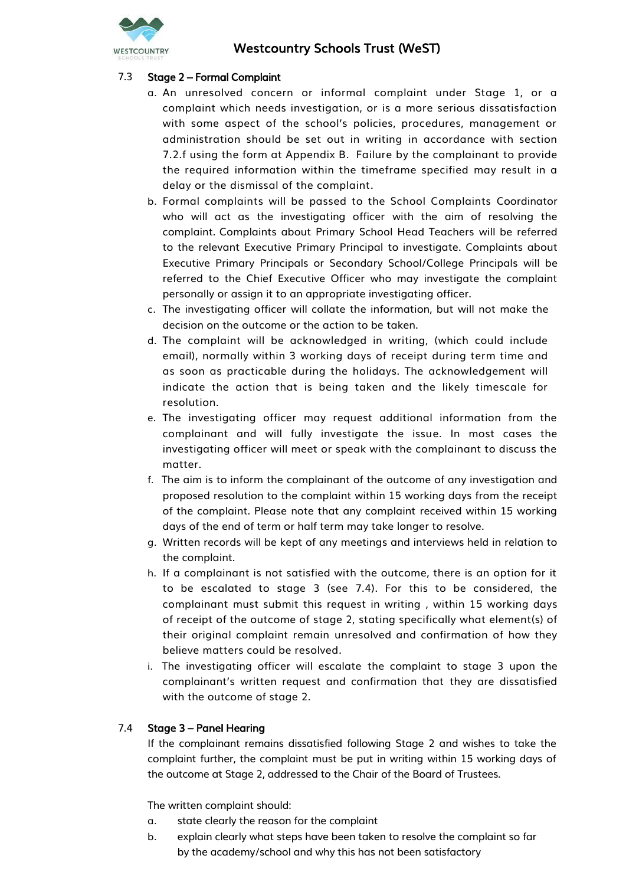

# 7.3 Stage 2 – Formal Complaint

- a. An unresolved concern or informal complaint under Stage 1, or a complaint which needs investigation, or is a more serious dissatisfaction with some aspect of the school's policies, procedures, management or administration should be set out in writing in accordance with section 7.2.f using the form at Appendix B. Failure by the complainant to provide the required information within the timeframe specified may result in a delay or the dismissal of the complaint.
- b. Formal complaints will be passed to the School Complaints Coordinator who will act as the investigating officer with the aim of resolving the complaint. Complaints about Primary School Head Teachers will be referred to the relevant Executive Primary Principal to investigate. Complaints about Executive Primary Principals or Secondary School/College Principals will be referred to the Chief Executive Officer who may investigate the complaint personally or assign it to an appropriate investigating officer.
- c. The investigating officer will collate the information, but will not make the decision on the outcome or the action to be taken.
- d. The complaint will be acknowledged in writing, (which could include email), normally within 3 working days of receipt during term time and as soon as practicable during the holidays. The acknowledgement will indicate the action that is being taken and the likely timescale for resolution.
- e. The investigating officer may request additional information from the complainant and will fully investigate the issue. In most cases the investigating officer will meet or speak with the complainant to discuss the matter.
- f. The aim is to inform the complainant of the outcome of any investigation and proposed resolution to the complaint within 15 working days from the receipt of the complaint. Please note that any complaint received within 15 working days of the end of term or half term may take longer to resolve.
- g. Written records will be kept of any meetings and interviews held in relation to the complaint.
- h. If a complainant is not satisfied with the outcome, there is an option for it to be escalated to stage 3 (see 7.4). For this to be considered, the complainant must submit this request in writing , within 15 working days of receipt of the outcome of stage 2, stating specifically what element(s) of their original complaint remain unresolved and confirmation of how they believe matters could be resolved.
- i. The investigating officer will escalate the complaint to stage 3 upon the complainant's written request and confirmation that they are dissatisfied with the outcome of stage 2.

#### 7.4 Stage 3 – Panel Hearing

If the complainant remains dissatisfied following Stage 2 and wishes to take the complaint further, the complaint must be put in writing within 15 working days of the outcome at Stage 2, addressed to the Chair of the Board of Trustees.

The written complaint should:

- a. state clearly the reason for the complaint
- b. explain clearly what steps have been taken to resolve the complaint so far by the academy/school and why this has not been satisfactory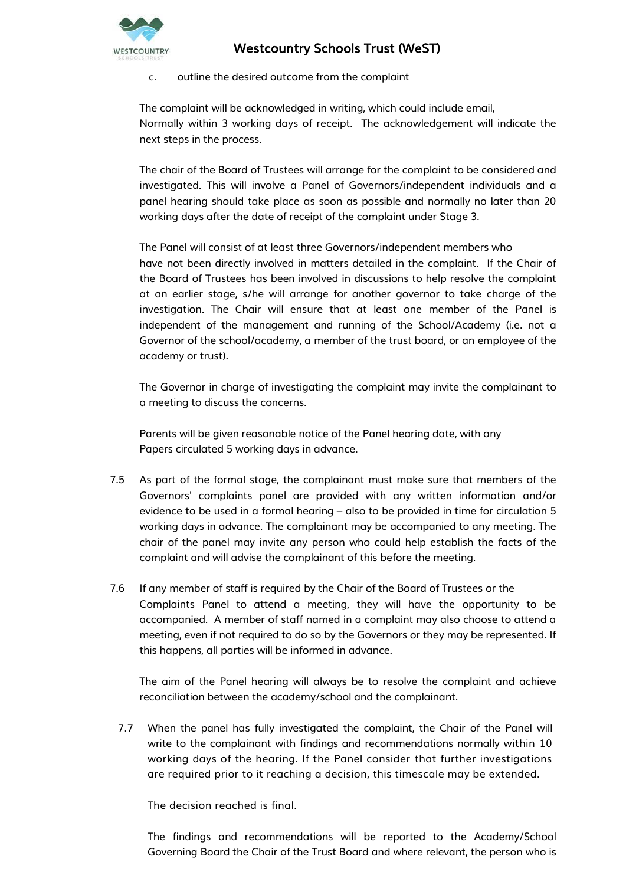

c. outline the desired outcome from the complaint

The complaint will be acknowledged in writing, which could include email, Normally within 3 working days of receipt. The acknowledgement will indicate the next steps in the process.

The chair of the Board of Trustees will arrange for the complaint to be considered and investigated. This will involve a Panel of Governors/independent individuals and a panel hearing should take place as soon as possible and normally no later than 20 working days after the date of receipt of the complaint under Stage 3.

The Panel will consist of at least three Governors/independent members who have not been directly involved in matters detailed in the complaint. If the Chair of the Board of Trustees has been involved in discussions to help resolve the complaint at an earlier stage, s/he will arrange for another governor to take charge of the investigation. The Chair will ensure that at least one member of the Panel is independent of the management and running of the School/Academy (i.e. not a Governor of the school/academy, a member of the trust board, or an employee of the academy or trust).

The Governor in charge of investigating the complaint may invite the complainant to a meeting to discuss the concerns.

Parents will be given reasonable notice of the Panel hearing date, with any Papers circulated 5 working days in advance.

- 7.5 As part of the formal stage, the complainant must make sure that members of the Governors' complaints panel are provided with any written information and/or evidence to be used in a formal hearing – also to be provided in time for circulation 5 working days in advance. The complainant may be accompanied to any meeting. The chair of the panel may invite any person who could help establish the facts of the complaint and will advise the complainant of this before the meeting.
- 7.6 If any member of staff is required by the Chair of the Board of Trustees or the Complaints Panel to attend a meeting, they will have the opportunity to be accompanied. A member of staff named in a complaint may also choose to attend a meeting, even if not required to do so by the Governors or they may be represented. If this happens, all parties will be informed in advance.

The aim of the Panel hearing will always be to resolve the complaint and achieve reconciliation between the academy/school and the complainant.

7.7 When the panel has fully investigated the complaint, the Chair of the Panel will write to the complainant with findings and recommendations normally within 10 working days of the hearing. If the Panel consider that further investigations are required prior to it reaching a decision, this timescale may be extended.

The decision reached is final.

The findings and recommendations will be reported to the Academy/School Governing Board the Chair of the Trust Board and where relevant, the person who is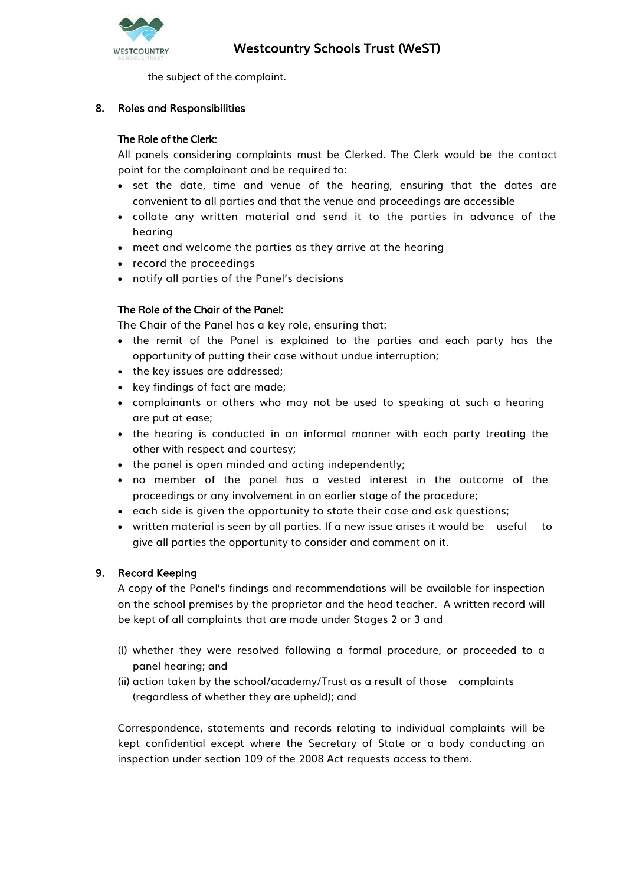

the subject of the complaint.

# 8. Roles and Responsibilities

#### The Role of the Clerk:

All panels considering complaints must be Clerked. The Clerk would be the contact point for the complainant and be required to:

- set the date, time and venue of the hearing, ensuring that the dates are convenient to all parties and that the venue and proceedings are accessible
- collate any written material and send it to the parties in advance of the hearing
- meet and welcome the parties as they arrive at the hearing
- record the proceedings
- notify all parties of the Panel's decisions

# The Role of the Chair of the Panel:

The Chair of the Panel has a key role, ensuring that:

- the remit of the Panel is explained to the parties and each party has the opportunity of putting their case without undue interruption;
- the key issues are addressed;
- key findings of fact are made;
- complainants or others who may not be used to speaking at such a hearing are put at ease;
- the hearing is conducted in an informal manner with each party treating the other with respect and courtesy;
- the panel is open minded and acting independently;
- no member of the panel has a vested interest in the outcome of the proceedings or any involvement in an earlier stage of the procedure;
- each side is given the opportunity to state their case and ask questions;
- written material is seen by all parties. If a new issue arises it would be useful to give all parties the opportunity to consider and comment on it.

#### 9. Record Keeping

A copy of the Panel's findings and recommendations will be available for inspection on the school premises by the proprietor and the head teacher. A written record will be kept of all complaints that are made under Stages 2 or 3 and

- (I) whether they were resolved following a formal procedure, or proceeded to a panel hearing; and
- (ii) action taken by the school/academy/Trust as a result of those complaints (regardless of whether they are upheld); and

Correspondence, statements and records relating to individual complaints will be kept confidential except where the Secretary of State or a body conducting an inspection under section 109 of the 2008 Act requests access to them.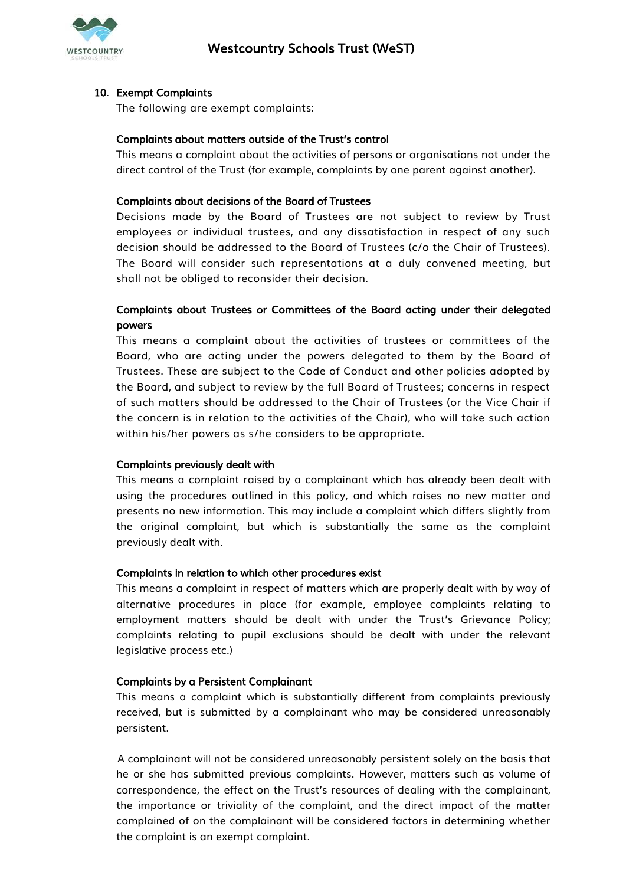

#### 10. Exempt Complaints

The following are exempt complaints:

#### Complaints about matters outside of the Trust's control

This means a complaint about the activities of persons or organisations not under the direct control of the Trust (for example, complaints by one parent against another).

#### Complaints about decisions of the Board of Trustees

Decisions made by the Board of Trustees are not subject to review by Trust employees or individual trustees, and any dissatisfaction in respect of any such decision should be addressed to the Board of Trustees (c/o the Chair of Trustees). The Board will consider such representations at a duly convened meeting, but shall not be obliged to reconsider their decision.

# Complaints about Trustees or Committees of the Board acting under their delegated powers

This means a complaint about the activities of trustees or committees of the Board, who are acting under the powers delegated to them by the Board of Trustees. These are subject to the Code of Conduct and other policies adopted by the Board, and subject to review by the full Board of Trustees; concerns in respect of such matters should be addressed to the Chair of Trustees (or the Vice Chair if the concern is in relation to the activities of the Chair), who will take such action within his/her powers as s/he considers to be appropriate.

#### Complaints previously dealt with

This means a complaint raised by a complainant which has already been dealt with using the procedures outlined in this policy, and which raises no new matter and presents no new information. This may include a complaint which differs slightly from the original complaint, but which is substantially the same as the complaint previously dealt with.

#### Complaints in relation to which other procedures exist

This means a complaint in respect of matters which are properly dealt with by way of alternative procedures in place (for example, employee complaints relating to employment matters should be dealt with under the Trust's Grievance Policy; complaints relating to pupil exclusions should be dealt with under the relevant legislative process etc.)

#### Complaints by a Persistent Complainant

This means a complaint which is substantially different from complaints previously received, but is submitted by a complainant who may be considered unreasonably persistent.

A complainant will not be considered unreasonably persistent solely on the basis that he or she has submitted previous complaints. However, matters such as volume of correspondence, the effect on the Trust's resources of dealing with the complainant, the importance or triviality of the complaint, and the direct impact of the matter complained of on the complainant will be considered factors in determining whether the complaint is an exempt complaint.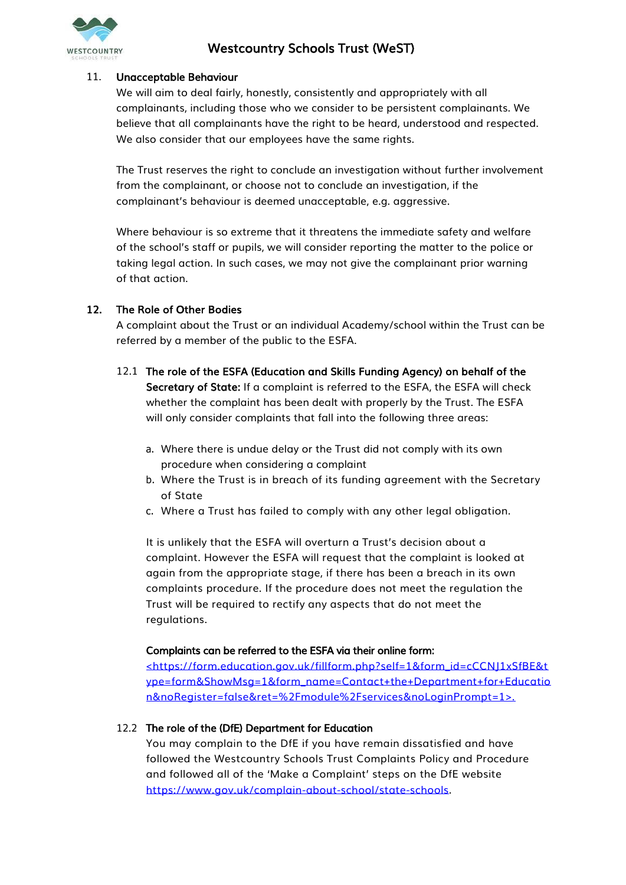

#### 11. Unacceptable Behaviour

We will aim to deal fairly, honestly, consistently and appropriately with all complainants, including those who we consider to be persistent complainants. We believe that all complainants have the right to be heard, understood and respected. We also consider that our employees have the same rights.

The Trust reserves the right to conclude an investigation without further involvement from the complainant, or choose not to conclude an investigation, if the complainant's behaviour is deemed unacceptable, e.g. aggressive.

Where behaviour is so extreme that it threatens the immediate safety and welfare of the school's staff or pupils, we will consider reporting the matter to the police or taking legal action. In such cases, we may not give the complainant prior warning of that action.

#### 12. The Role of Other Bodies

A complaint about the Trust or an individual Academy/school within the Trust can be referred by a member of the public to the ESFA.

- 12.1 The role of the ESFA (Education and Skills Funding Agency) on behalf of the Secretary of State: If a complaint is referred to the ESFA, the ESFA will check whether the complaint has been dealt with properly by the Trust. The ESFA will only consider complaints that fall into the following three areas:
	- a. Where there is undue delay or the Trust did not comply with its own procedure when considering a complaint
	- b. Where the Trust is in breach of its funding agreement with the Secretary of State
	- c. Where a Trust has failed to comply with any other legal obligation.

It is unlikely that the ESFA will overturn a Trust's decision about a complaint. However the ESFA will request that the complaint is looked at again from the appropriate stage, if there has been a breach in its own complaints procedure. If the procedure does not meet the regulation the Trust will be required to rectify any aspects that do not meet the regulations.

#### Complaints can be referred to the ESFA via their online form:

<https://form.education.gov.uk/fillform.php?self=1&form\_id=cCCNJ1xSfBE&t ype=form&ShowMsg=1&form\_name=Contact+the+Department+for+Educatio n&noRegister=false&ret=%2Fmodule%2Fservices&noLoginPrompt=1>.

#### 12.2 The role of the (DfE) Department for Education

You may complain to the DfE if you have remain dissatisfied and have followed the Westcountry Schools Trust Complaints Policy and Procedure and followed all of the 'Make a Complaint' steps on the DfE website [https://www.gov.uk/complain-about-school/state-schools.](https://www.gov.uk/complain-about-school/state-schools)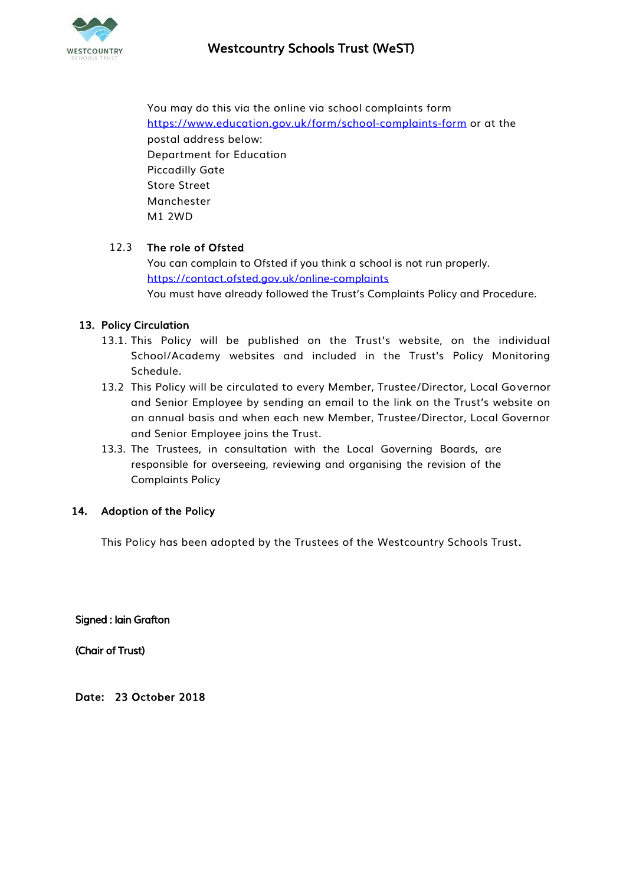

You may do this via the online via school complaints form <https://www.education.gov.uk/form/school-complaints-form> or at the postal address below: Department for Education Piccadilly Gate Store Street Manchester M1 2WD

#### 12.3 The role of Ofsted

You can complain to Ofsted if you think a school is not run properly. <https://contact.ofsted.gov.uk/online-complaints> You must have already followed the Trust's Complaints Policy and Procedure.

#### 13. Policy Circulation

- 13.1. This Policy will be published on the Trust's website, on the individual School/Academy websites and included in the Trust's Policy Monitoring Schedule.
- 13.2 This Policy will be circulated to every Member, Trustee/Director, Local Governor and Senior Employee by sending an email to the link on the Trust's website on an annual basis and when each new Member, Trustee/Director, Local Governor and Senior Employee joins the Trust.
- 13.3. The Trustees, in consultation with the Local Governing Boards, are responsible for overseeing, reviewing and organising the revision of the Complaints Policy

#### 14. Adoption of the Policy

This Policy has been adopted by the Trustees of the Westcountry Schools Trust.

Signed : Iain Grafton

(Chair of Trust)

Date: 23 October 2018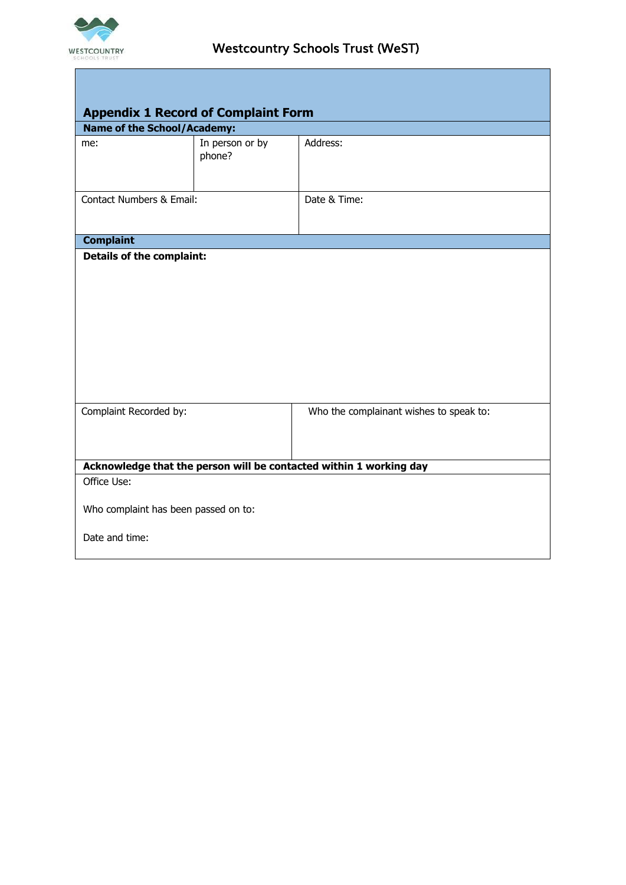

Г

| <b>Appendix 1 Record of Complaint Form</b>                         |                           |                                         |  |
|--------------------------------------------------------------------|---------------------------|-----------------------------------------|--|
| <b>Name of the School/Academy:</b>                                 |                           |                                         |  |
| me:                                                                | In person or by<br>phone? | Address:                                |  |
| <b>Contact Numbers &amp; Email:</b>                                |                           | Date & Time:                            |  |
| <b>Complaint</b>                                                   |                           |                                         |  |
|                                                                    |                           |                                         |  |
| Complaint Recorded by:                                             |                           | Who the complainant wishes to speak to: |  |
| Acknowledge that the person will be contacted within 1 working day |                           |                                         |  |
| Office Use:<br>Who complaint has been passed on to:                |                           |                                         |  |
| Date and time:                                                     |                           |                                         |  |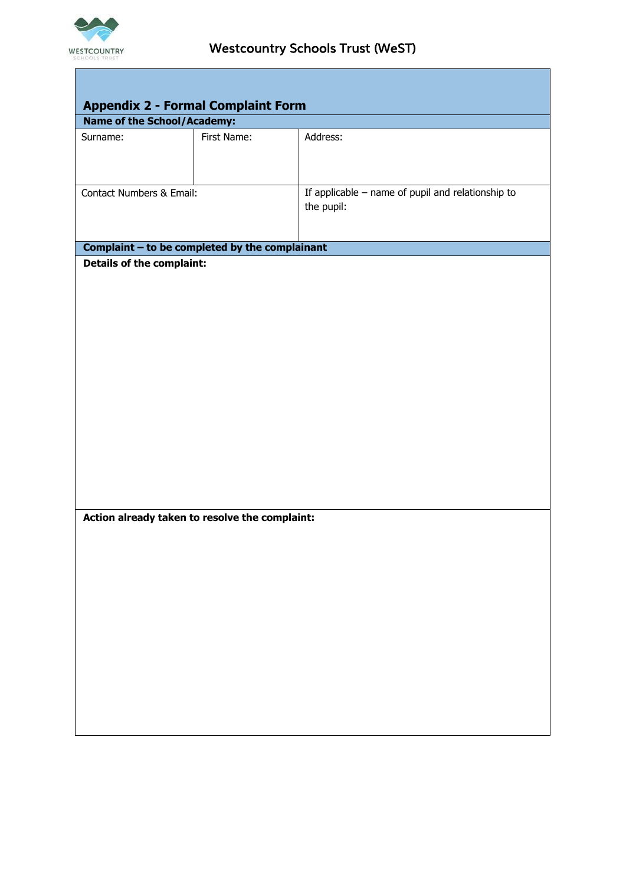

×

| <b>Appendix 2 - Formal Complaint Form</b>      |             |                                                                 |  |
|------------------------------------------------|-------------|-----------------------------------------------------------------|--|
| <b>Name of the School/Academy:</b>             |             |                                                                 |  |
| Surname:                                       | First Name: | Address:                                                        |  |
| Contact Numbers & Email:                       |             | If applicable - name of pupil and relationship to<br>the pupil: |  |
| Complaint - to be completed by the complainant |             |                                                                 |  |
| <b>Details of the complaint:</b>               |             |                                                                 |  |
| Action already taken to resolve the complaint: |             |                                                                 |  |